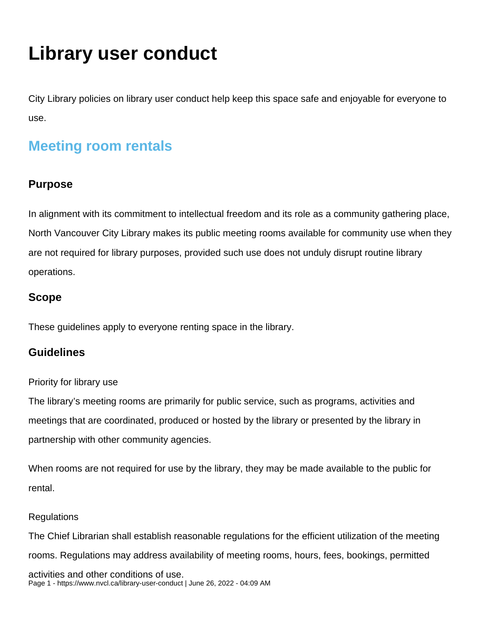# **Library user conduct**

City Library policies on library user conduct help keep this space safe and enjoyable for everyone to use.

# **Meeting room rentals**

### **Purpose**

In alignment with its commitment to intellectual freedom and its role as a community gathering place, North Vancouver City Library makes its public meeting rooms available for community use when they are not required for library purposes, provided such use does not unduly disrupt routine library operations.

### **Scope**

These guidelines apply to everyone renting space in the library.

### **Guidelines**

#### Priority for library use

The library's meeting rooms are primarily for public service, such as programs, activities and meetings that are coordinated, produced or hosted by the library or presented by the library in partnership with other community agencies.

When rooms are not required for use by the library, they may be made available to the public for rental.

#### **Regulations**

The Chief Librarian shall establish reasonable regulations for the efficient utilization of the meeting rooms. Regulations may address availability of meeting rooms, hours, fees, bookings, permitted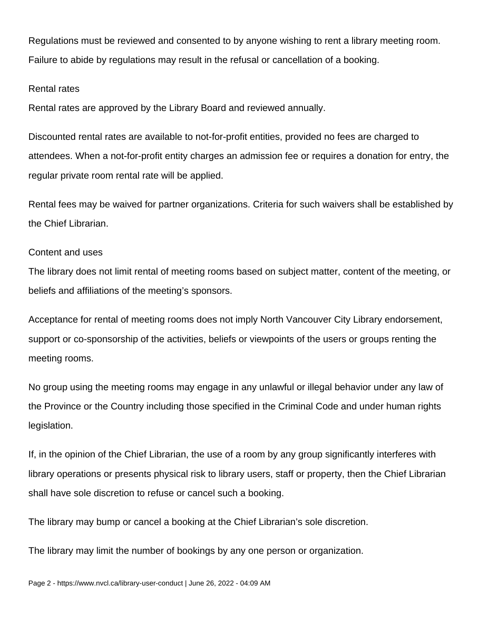Regulations must be reviewed and consented to by anyone wishing to rent a library meeting room. Failure to abide by regulations may result in the refusal or cancellation of a booking.

#### Rental rates

Rental rates are approved by the Library Board and reviewed annually.

Discounted rental rates are available to not-for-profit entities, provided no fees are charged to attendees. When a not-for-profit entity charges an admission fee or requires a donation for entry, the regular private room rental rate will be applied.

Rental fees may be waived for partner organizations. Criteria for such waivers shall be established by the Chief Librarian.

#### Content and uses

The library does not limit rental of meeting rooms based on subject matter, content of the meeting, or beliefs and affiliations of the meeting's sponsors.

Acceptance for rental of meeting rooms does not imply North Vancouver City Library endorsement, support or co-sponsorship of the activities, beliefs or viewpoints of the users or groups renting the meeting rooms.

No group using the meeting rooms may engage in any unlawful or illegal behavior under any law of the Province or the Country including those specified in the Criminal Code and under human rights legislation.

If, in the opinion of the Chief Librarian, the use of a room by any group significantly interferes with library operations or presents physical risk to library users, staff or property, then the Chief Librarian shall have sole discretion to refuse or cancel such a booking.

The library may bump or cancel a booking at the Chief Librarian's sole discretion.

The library may limit the number of bookings by any one person or organization.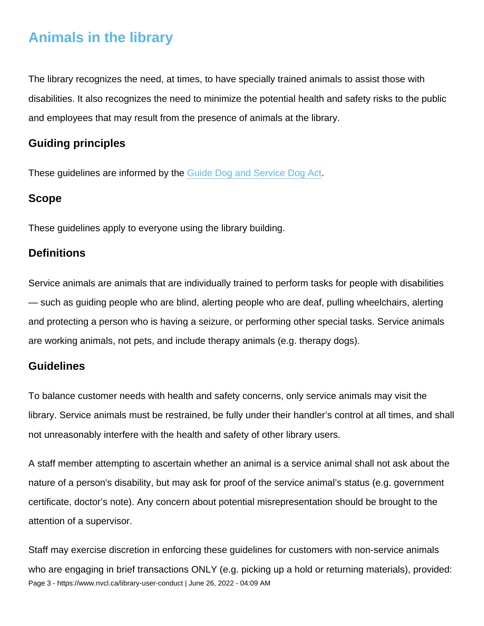# Animals in the library

The library recognizes the need, at times, to have specially trained animals to assist those with disabilities. It also recognizes the need to minimize the potential health and safety risks to the public and employees that may result from the presence of animals at the library.

### Guiding principles

These guidelines are informed by the [Guide Dog and Service Dog Act.](https://www.bclaws.gov.bc.ca/civix/document/id/complete/statreg/15017)

#### Scope

These guidelines apply to everyone using the library building.

#### **Definitions**

Service animals are animals that are individually trained to perform tasks for people with disabilities — such as guiding people who are blind, alerting people who are deaf, pulling wheelchairs, alerting and protecting a person who is having a seizure, or performing other special tasks. Service animals are working animals, not pets, and include therapy animals (e.g. therapy dogs).

#### **Guidelines**

To balance customer needs with health and safety concerns, only service animals may visit the library. Service animals must be restrained, be fully under their handler's control at all times, and shall not unreasonably interfere with the health and safety of other library users.

A staff member attempting to ascertain whether an animal is a service animal shall not ask about the nature of a person's disability, but may ask for proof of the service animal's status (e.g. government certificate, doctor's note). Any concern about potential misrepresentation should be brought to the attention of a supervisor.

Staff may exercise discretion in enforcing these guidelines for customers with non-service animals who are engaging in brief transactions ONLY (e.g. picking up a hold or returning materials), provided: Page 3 - https://www.nvcl.ca/library-user-conduct | June 26, 2022 - 04:09 AM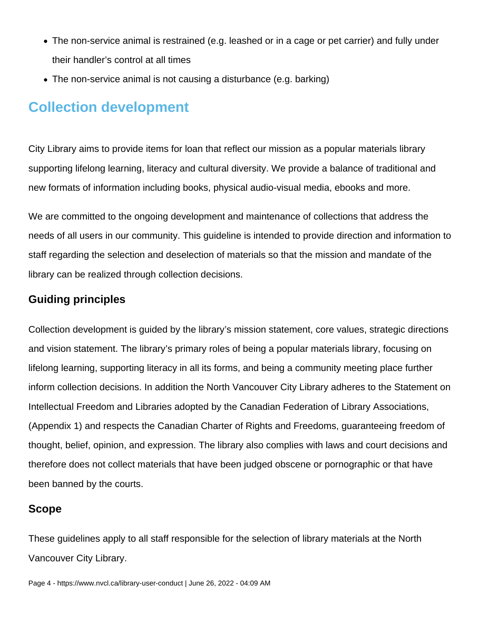- The non-service animal is restrained (e.g. leashed or in a cage or pet carrier) and fully under their handler's control at all times
- The non-service animal is not causing a disturbance (e.g. barking)

# **Collection development**

City Library aims to provide items for loan that reflect our mission as a popular materials library supporting lifelong learning, literacy and cultural diversity. We provide a balance of traditional and new formats of information including books, physical audio-visual media, ebooks and more.

We are committed to the ongoing development and maintenance of collections that address the needs of all users in our community. This guideline is intended to provide direction and information to staff regarding the selection and deselection of materials so that the mission and mandate of the library can be realized through collection decisions.

### **Guiding principles**

Collection development is guided by the library's mission statement, core values, strategic directions and vision statement. The library's primary roles of being a popular materials library, focusing on lifelong learning, supporting literacy in all its forms, and being a community meeting place further inform collection decisions. In addition the North Vancouver City Library adheres to the Statement on Intellectual Freedom and Libraries adopted by the Canadian Federation of Library Associations, (Appendix 1) and respects the Canadian Charter of Rights and Freedoms, guaranteeing freedom of thought, belief, opinion, and expression. The library also complies with laws and court decisions and therefore does not collect materials that have been judged obscene or pornographic or that have been banned by the courts.

### **Scope**

These guidelines apply to all staff responsible for the selection of library materials at the North Vancouver City Library.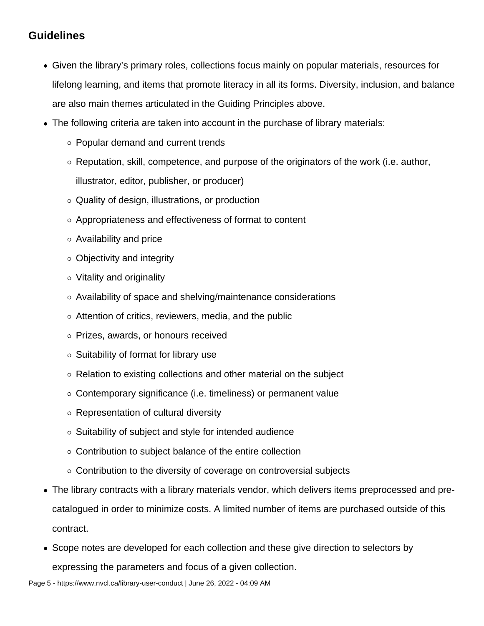### **Guidelines**

- Given the library's primary roles, collections focus mainly on popular materials, resources for lifelong learning, and items that promote literacy in all its forms. Diversity, inclusion, and balance are also main themes articulated in the Guiding Principles above.
- The following criteria are taken into account in the purchase of library materials:
	- Popular demand and current trends
	- $\circ$  Reputation, skill, competence, and purpose of the originators of the work (i.e. author, illustrator, editor, publisher, or producer)
	- Quality of design, illustrations, or production
	- Appropriateness and effectiveness of format to content
	- Availability and price
	- $\circ$  Objectivity and integrity
	- Vitality and originality
	- Availability of space and shelving/maintenance considerations
	- Attention of critics, reviewers, media, and the public
	- Prizes, awards, or honours received
	- $\circ$  Suitability of format for library use
	- $\circ$  Relation to existing collections and other material on the subject
	- Contemporary significance (i.e. timeliness) or permanent value
	- Representation of cultural diversity
	- $\circ$  Suitability of subject and style for intended audience
	- Contribution to subject balance of the entire collection
	- $\circ$  Contribution to the diversity of coverage on controversial subjects
- The library contracts with a library materials vendor, which delivers items preprocessed and precatalogued in order to minimize costs. A limited number of items are purchased outside of this contract.
- Scope notes are developed for each collection and these give direction to selectors by expressing the parameters and focus of a given collection.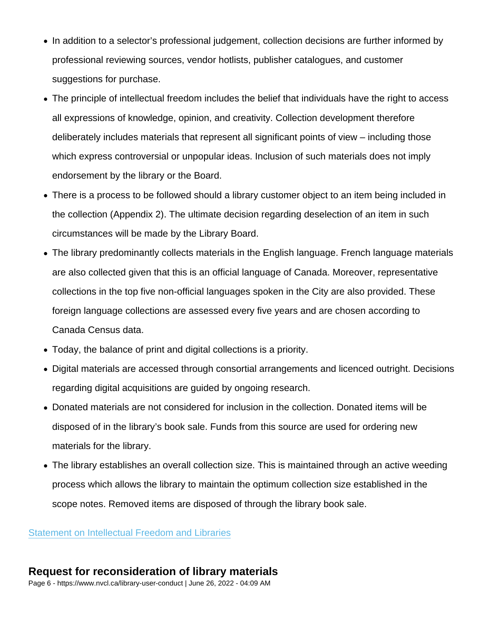- In addition to a selector's professional judgement, collection decisions are further informed by professional reviewing sources, vendor hotlists, publisher catalogues, and customer suggestions for purchase.
- The principle of intellectual freedom includes the belief that individuals have the right to access all expressions of knowledge, opinion, and creativity. Collection development therefore deliberately includes materials that represent all significant points of view – including those which express controversial or unpopular ideas. Inclusion of such materials does not imply endorsement by the library or the Board.
- There is a process to be followed should a library customer object to an item being included in the collection (Appendix 2). The ultimate decision regarding deselection of an item in such circumstances will be made by the Library Board.
- The library predominantly collects materials in the English language. French language materials are also collected given that this is an official language of Canada. Moreover, representative collections in the top five non-official languages spoken in the City are also provided. These foreign language collections are assessed every five years and are chosen according to Canada Census data.
- Today, the balance of print and digital collections is a priority.
- Digital materials are accessed through consortial arrangements and licenced outright. Decisions regarding digital acquisitions are guided by ongoing research.
- Donated materials are not considered for inclusion in the collection. Donated items will be disposed of in the library's book sale. Funds from this source are used for ordering new materials for the library.
- The library establishes an overall collection size. This is maintained through an active weeding process which allows the library to maintain the optimum collection size established in the scope notes. Removed items are disposed of through the library book sale.

[Statement on Intellectual Freedom and Libraries](https://cfla-fcab.ca/en/guidelines-and-position-papers/statement-on-intellectual-freedom-and-libraries/)

### Request for reconsideration of library materials

Page 6 - https://www.nvcl.ca/library-user-conduct | June 26, 2022 - 04:09 AM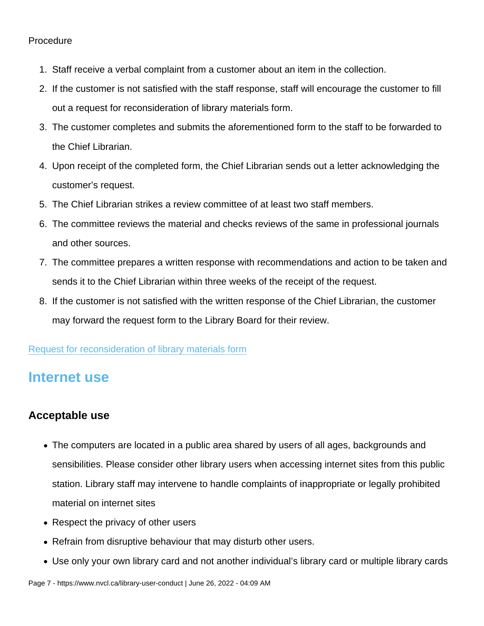#### Procedure

- 1. Staff receive a verbal complaint from a customer about an item in the collection.
- 2. If the customer is not satisfied with the staff response, staff will encourage the customer to fill out a request for reconsideration of library materials form.
- 3. The customer completes and submits the aforementioned form to the staff to be forwarded to the Chief Librarian.
- 4. Upon receipt of the completed form, the Chief Librarian sends out a letter acknowledging the customer's request.
- 5. The Chief Librarian strikes a review committee of at least two staff members.
- 6. The committee reviews the material and checks reviews of the same in professional journals and other sources.
- 7. The committee prepares a written response with recommendations and action to be taken and sends it to the Chief Librarian within three weeks of the receipt of the request.
- 8. If the customer is not satisfied with the written response of the Chief Librarian, the customer may forward the request form to the Library Board for their review.

#### [Request for reconsideration of library materials form](https://nvcl.formstack.com/forms/request_for_reconsideration_of_library_materials)

### Internet use

#### Acceptable use

- The computers are located in a public area shared by users of all ages, backgrounds and sensibilities. Please consider other library users when accessing internet sites from this public station. Library staff may intervene to handle complaints of inappropriate or legally prohibited material on internet sites
- Respect the privacy of other users
- Refrain from disruptive behaviour that may disturb other users.
- Use only your own library card and not another individual's library card or multiple library cards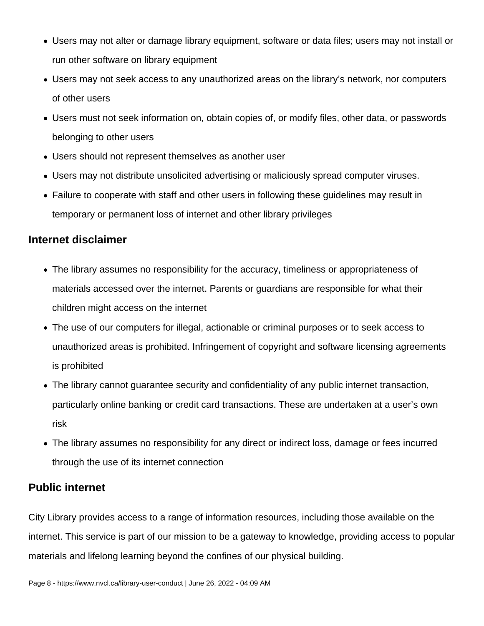- Users may not alter or damage library equipment, software or data files; users may not install or run other software on library equipment
- Users may not seek access to any unauthorized areas on the library's network, nor computers of other users
- Users must not seek information on, obtain copies of, or modify files, other data, or passwords belonging to other users
- Users should not represent themselves as another user
- Users may not distribute unsolicited advertising or maliciously spread computer viruses.
- Failure to cooperate with staff and other users in following these guidelines may result in temporary or permanent loss of internet and other library privileges

### **Internet disclaimer**

- The library assumes no responsibility for the accuracy, timeliness or appropriateness of materials accessed over the internet. Parents or guardians are responsible for what their children might access on the internet
- The use of our computers for illegal, actionable or criminal purposes or to seek access to unauthorized areas is prohibited. Infringement of copyright and software licensing agreements is prohibited
- The library cannot guarantee security and confidentiality of any public internet transaction, particularly online banking or credit card transactions. These are undertaken at a user's own risk
- The library assumes no responsibility for any direct or indirect loss, damage or fees incurred through the use of its internet connection

### **Public internet**

City Library provides access to a range of information resources, including those available on the internet. This service is part of our mission to be a gateway to knowledge, providing access to popular materials and lifelong learning beyond the confines of our physical building.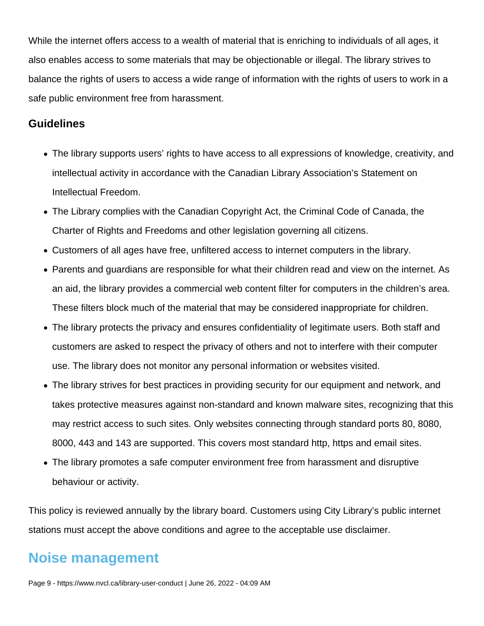While the internet offers access to a wealth of material that is enriching to individuals of all ages, it also enables access to some materials that may be objectionable or illegal. The library strives to balance the rights of users to access a wide range of information with the rights of users to work in a safe public environment free from harassment.

#### **Guidelines**

- The library supports users' rights to have access to all expressions of knowledge, creativity, and intellectual activity in accordance with the Canadian Library Association's Statement on Intellectual Freedom.
- The Library complies with the Canadian Copyright Act, the Criminal Code of Canada, the Charter of Rights and Freedoms and other legislation governing all citizens.
- Customers of all ages have free, unfiltered access to internet computers in the library.
- Parents and guardians are responsible for what their children read and view on the internet. As an aid, the library provides a commercial web content filter for computers in the children's area. These filters block much of the material that may be considered inappropriate for children.
- The library protects the privacy and ensures confidentiality of legitimate users. Both staff and customers are asked to respect the privacy of others and not to interfere with their computer use. The library does not monitor any personal information or websites visited.
- The library strives for best practices in providing security for our equipment and network, and takes protective measures against non-standard and known malware sites, recognizing that this may restrict access to such sites. Only websites connecting through standard ports 80, 8080, 8000, 443 and 143 are supported. This covers most standard http, https and email sites.
- The library promotes a safe computer environment free from harassment and disruptive behaviour or activity.

This policy is reviewed annually by the library board. Customers using City Library's public internet stations must accept the above conditions and agree to the acceptable use disclaimer.

### **Noise management**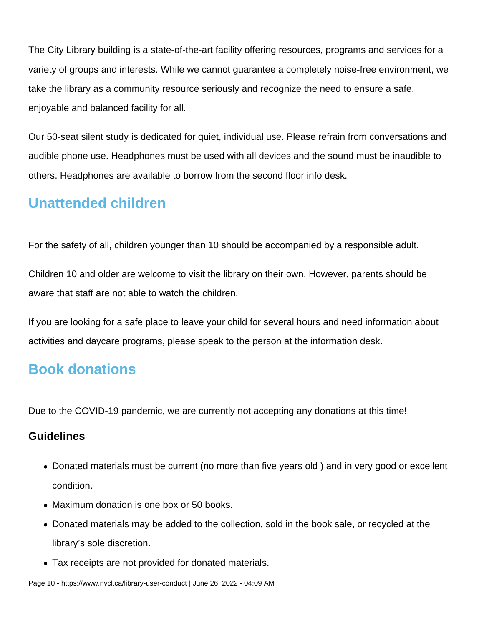The City Library building is a state-of-the-art facility offering resources, programs and services for a variety of groups and interests. While we cannot guarantee a completely noise-free environment, we take the library as a community resource seriously and recognize the need to ensure a safe, enjoyable and balanced facility for all.

Our 50-seat silent study is dedicated for quiet, individual use. Please refrain from conversations and audible phone use. Headphones must be used with all devices and the sound must be inaudible to others. Headphones are available to borrow from the second floor info desk.

# **Unattended children**

For the safety of all, children younger than 10 should be accompanied by a responsible adult.

Children 10 and older are welcome to visit the library on their own. However, parents should be aware that staff are not able to watch the children.

If you are looking for a safe place to leave your child for several hours and need information about activities and daycare programs, please speak to the person at the information desk.

# **Book donations**

Due to the COVID-19 pandemic, we are currently not accepting any donations at this time!

### **Guidelines**

- Donated materials must be current (no more than five years old ) and in very good or excellent condition.
- Maximum donation is one box or 50 books.
- Donated materials may be added to the collection, sold in the book sale, or recycled at the library's sole discretion.
- Tax receipts are not provided for donated materials.